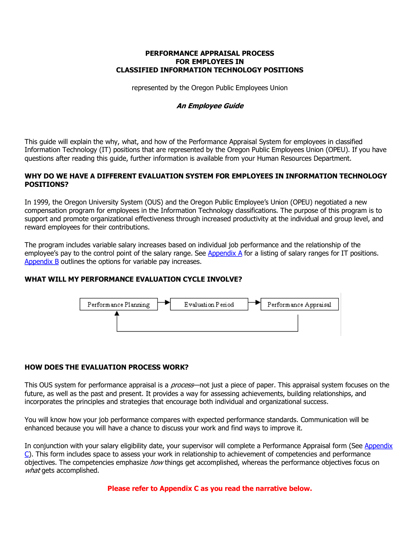### **PERFORMANCE APPRAISAL PROCESS FOR EMPLOYEES IN CLASSIFIED INFORMATION TECHNOLOGY POSITIONS**

represented by the Oregon Public Employees Union

# **An Employee Guide**

This guide will explain the why, what, and how of the Performance Appraisal System for employees in classified Information Technology (IT) positions that are represented by the Oregon Public Employees Union (OPEU). If you have questions after reading this guide, further information is available from your Human Resources Department.

# **WHY DO WE HAVE A DIFFERENT EVALUATION SYSTEM FOR EMPLOYEES IN INFORMATION TECHNOLOGY POSITIONS?**

In 1999, the Oregon University System (OUS) and the Oregon Public Employee's Union (OPEU) negotiated a new compensation program for employees in the Information Technology classifications. The purpose of this program is to support and promote organizational effectiveness through increased productivity at the individual and group level, and reward employees for their contributions.

The program includes variable salary increases based on individual job performance and the relationship of the employee's pay to the control point of the salary range. See [Appendix A](http://www.ous.edu/hr/compensation/sal_schedule.htm) for a listing of salary ranges for IT positions. [Appendix B](http://www.ous.edu/hr/itcomp/IT_article69.htm) outlines the options for variable pay increases.

# **WHAT WILL MY PERFORMANCE EVALUATION CYCLE INVOLVE?**



# **HOW DOES THE EVALUATION PROCESS WORK?**

This OUS system for performance appraisal is a *process*—not just a piece of paper. This appraisal system focuses on the future, as well as the past and present. It provides a way for assessing achievements, building relationships, and incorporates the principles and strategies that encourage both individual and organizational success.

You will know how your job performance compares with expected performance standards. Communication will be enhanced because you will have a chance to discuss your work and find ways to improve it.

[In conjunction with your salary eligibility date, your supervisor will complete a Performance Appraisal form \(See Appendix](http://www.ous.edu/hr/compensation.html) C). This form includes space to assess your work in relationship to achievement of competencies and performance objectives. The competencies emphasize *how* things get accomplished, whereas the performance objectives focus on what gets accomplished.

**Please refer to Appendix C as you read the narrative below.**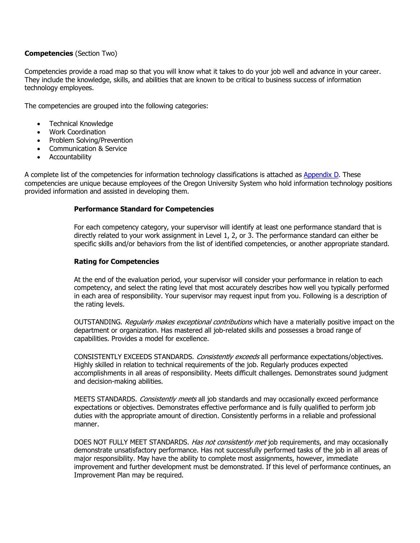## **Competencies** (Section Two)

Competencies provide a road map so that you will know what it takes to do your job well and advance in your career. They include the knowledge, skills, and abilities that are known to be critical to business success of information technology employees.

The competencies are grouped into the following categories:

- · Technical Knowledge
- · Work Coordination
- · Problem Solving/Prevention
- · Communication & Service
- · Accountability

A complete list of the competencies for information technology classifications is attached as [Appendix D](http://www.ous.edu/hr/classpec/DEFINING_COMPETENCIES.htm). These competencies are unique because employees of the Oregon University System who hold information technology positions provided information and assisted in developing them.

## **Performance Standard for Competencies**

For each competency category, your supervisor will identify at least one performance standard that is directly related to your work assignment in Level 1, 2, or 3. The performance standard can either be specific skills and/or behaviors from the list of identified competencies, or another appropriate standard.

## **Rating for Competencies**

At the end of the evaluation period, your supervisor will consider your performance in relation to each competency, and select the rating level that most accurately describes how well you typically performed in each area of responsibility. Your supervisor may request input from you. Following is a description of the rating levels.

OUTSTANDING. Reqularly makes exceptional contributions which have a materially positive impact on the department or organization. Has mastered all job-related skills and possesses a broad range of capabilities. Provides a model for excellence.

CONSISTENTLY EXCEEDS STANDARDS. Consistently exceeds all performance expectations/objectives. Highly skilled in relation to technical requirements of the job. Regularly produces expected accomplishments in all areas of responsibility. Meets difficult challenges. Demonstrates sound judgment and decision-making abilities.

MEETS STANDARDS. *Consistently meets* all job standards and may occasionally exceed performance expectations or objectives. Demonstrates effective performance and is fully qualified to perform job duties with the appropriate amount of direction. Consistently performs in a reliable and professional manner.

DOES NOT FULLY MEET STANDARDS. Has not consistently met job requirements, and may occasionally demonstrate unsatisfactory performance. Has not successfully performed tasks of the job in all areas of major responsibility. May have the ability to complete most assignments, however, immediate improvement and further development must be demonstrated. If this level of performance continues, an Improvement Plan may be required.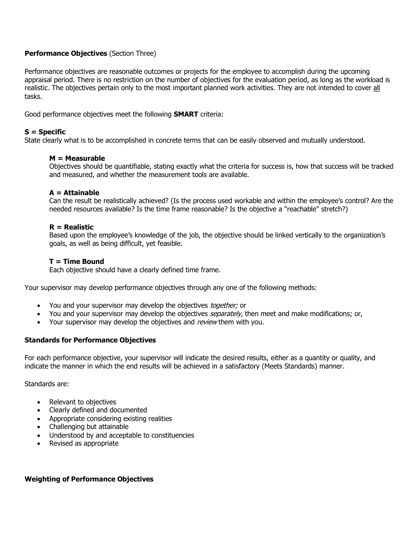# **Performance Objectives** (Section Three)

Performance objectives are reasonable outcomes or projects for the employee to accomplish during the upcoming appraisal period. There is no restriction on the number of objectives for the evaluation period, as long as the workload is realistic. The objectives pertain only to the most important planned work activities. They are not intended to cover all tasks.

Good performance objectives meet the following **SMART** criteria:

## **S = Specific**

State clearly what is to be accomplished in concrete terms that can be easily observed and mutually understood.

## **M = Measurable**

Objectives should be quantifiable, stating exactly what the criteria for success is, how that success will be tracked and measured, and whether the measurement tools are available.

### **A = Attainable**

Can the result be realistically achieved? (Is the process used workable and within the employee's control? Are the needed resources available? Is the time frame reasonable? Is the objective a "reachable" stretch?)

### **R = Realistic**

Based upon the employee's knowledge of the job, the objective should be linked vertically to the organization's goals, as well as being difficult, yet feasible.

### **T = Time Bound**

Each objective should have a clearly defined time frame.

Your supervisor may develop performance objectives through any one of the following methods:

- You and your supervisor may develop the objectives *together;* or
- You and your supervisor may develop the objectives *separately*, then meet and make modifications; or,
- Your supervisor may develop the objectives and review them with you.

## **Standards for Performance Objectives**

For each performance objective, your supervisor will indicate the desired results, either as a quantity or quality, and indicate the manner in which the end results will be achieved in a satisfactory (Meets Standards) manner.

Standards are:

- Relevant to objectives
- · Clearly defined and documented
- · Appropriate considering existing realities
- · Challenging but attainable
- · Understood by and acceptable to constituencies
- Revised as appropriate

# **Weighting of Performance Objectives**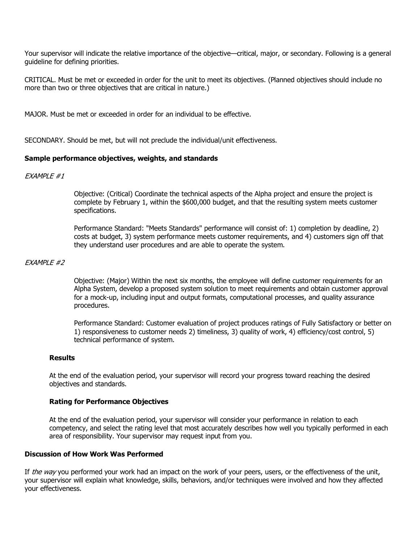Your supervisor will indicate the relative importance of the objective—critical, major, or secondary. Following is a general guideline for defining priorities.

CRITICAL. Must be met or exceeded in order for the unit to meet its objectives. (Planned objectives should include no more than two or three objectives that are critical in nature.)

MAJOR. Must be met or exceeded in order for an individual to be effective.

SECONDARY. Should be met, but will not preclude the individual/unit effectiveness.

## **Sample performance objectives, weights, and standards**

### EXAMPLE #1

Objective: (Critical) Coordinate the technical aspects of the Alpha project and ensure the project is complete by February 1, within the \$600,000 budget, and that the resulting system meets customer specifications.

Performance Standard: "Meets Standards" performance will consist of: 1) completion by deadline, 2) costs at budget, 3) system performance meets customer requirements, and 4) customers sign off that they understand user procedures and are able to operate the system.

### EXAMPLE #2

Objective: (Major) Within the next six months, the employee will define customer requirements for an Alpha System, develop a proposed system solution to meet requirements and obtain customer approval for a mock-up, including input and output formats, computational processes, and quality assurance procedures.

Performance Standard: Customer evaluation of project produces ratings of Fully Satisfactory or better on 1) responsiveness to customer needs 2) timeliness, 3) quality of work, 4) efficiency/cost control, 5) technical performance of system.

### **Results**

At the end of the evaluation period, your supervisor will record your progress toward reaching the desired objectives and standards.

### **Rating for Performance Objectives**

At the end of the evaluation period, your supervisor will consider your performance in relation to each competency, and select the rating level that most accurately describes how well you typically performed in each area of responsibility. Your supervisor may request input from you.

### **Discussion of How Work Was Performed**

If *the way* you performed your work had an impact on the work of your peers, users, or the effectiveness of the unit, your supervisor will explain what knowledge, skills, behaviors, and/or techniques were involved and how they affected your effectiveness.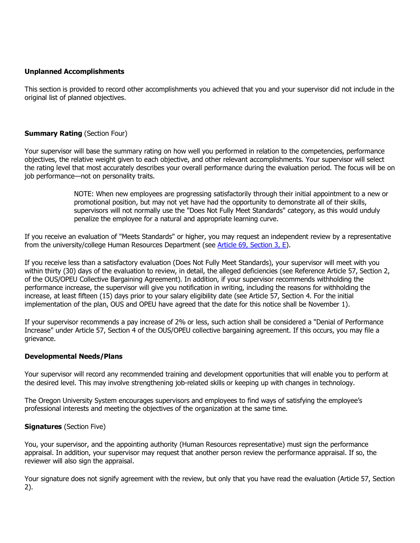## **Unplanned Accomplishments**

This section is provided to record other accomplishments you achieved that you and your supervisor did not include in the original list of planned objectives.

## **Summary Rating (Section Four)**

Your supervisor will base the summary rating on how well you performed in relation to the competencies, performance objectives, the relative weight given to each objective, and other relevant accomplishments. Your supervisor will select the rating level that most accurately describes your overall performance during the evaluation period. The focus will be on job performance—not on personality traits.

> NOTE: When new employees are progressing satisfactorily through their initial appointment to a new or promotional position, but may not yet have had the opportunity to demonstrate all of their skills, supervisors will not normally use the "Does Not Fully Meet Standards" category, as this would unduly penalize the employee for a natural and appropriate learning curve.

If you receive an evaluation of "Meets Standards" or higher, you may request an independent review by a representative from the university/college Human Resources Department (see [Article 69, Section 3,](http://www.ous.edu/hr/itcomp/IT_article69.htm) E).

If you receive less than a satisfactory evaluation (Does Not Fully Meet Standards), your supervisor will meet with you within thirty (30) days of the evaluation to review, in detail, the alleged deficiencies (see Reference Article 57, Section 2, of the OUS/OPEU Collective Bargaining Agreement). In addition, if your supervisor recommends withholding the performance increase, the supervisor will give you notification in writing, including the reasons for withholding the increase, at least fifteen (15) days prior to your salary eligibility date (see Article 57, Section 4. For the initial implementation of the plan, OUS and OPEU have agreed that the date for this notice shall be November 1).

If your supervisor recommends a pay increase of 2% or less, such action shall be considered a "Denial of Performance Increase" under Article 57, Section 4 of the OUS/OPEU collective bargaining agreement. If this occurs, you may file a grievance.

### **Developmental Needs/Plans**

Your supervisor will record any recommended training and development opportunities that will enable you to perform at the desired level. This may involve strengthening job-related skills or keeping up with changes in technology.

The Oregon University System encourages supervisors and employees to find ways of satisfying the employee's professional interests and meeting the objectives of the organization at the same time.

### **Signatures** (Section Five)

You, your supervisor, and the appointing authority (Human Resources representative) must sign the performance appraisal. In addition, your supervisor may request that another person review the performance appraisal. If so, the reviewer will also sign the appraisal.

Your signature does not signify agreement with the review, but only that you have read the evaluation (Article 57, Section 2).